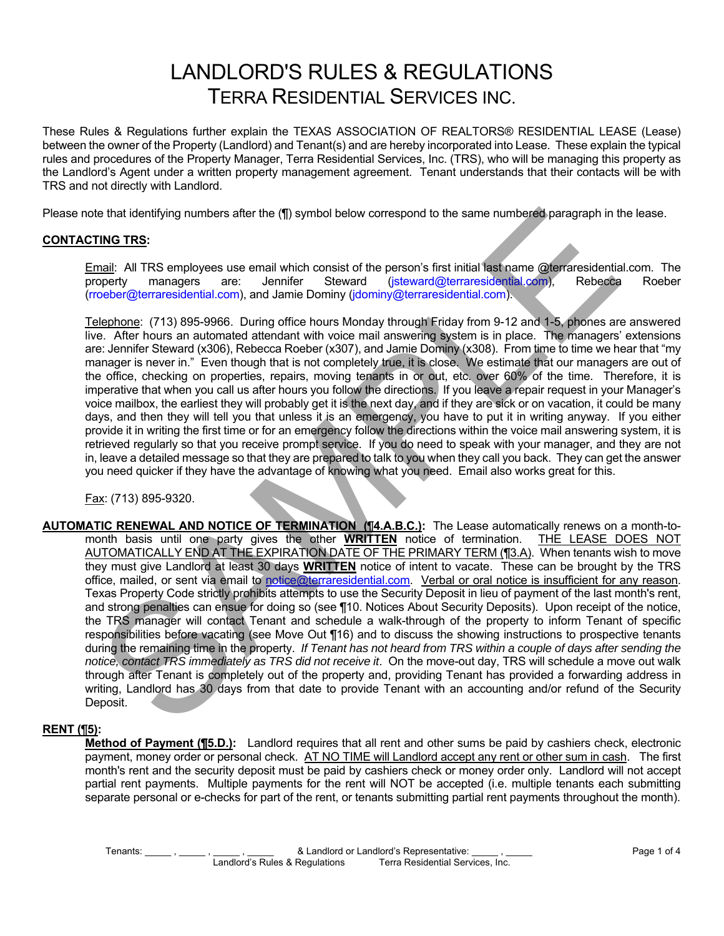# LANDLORD'S RULES & REGULATIONS TERRA RESIDENTIAL SERVICES INC.

These Rules & Regulations further explain the TEXAS ASSOCIATION OF REALTORS® RESIDENTIAL LEASE (Lease) between the owner of the Property (Landlord) and Tenant(s) and are hereby incorporated into Lease. These explain the typical rules and procedures of the Property Manager, Terra Residential Services, Inc. (TRS), who will be managing this property as the Landlord's Agent under a written property management agreement. Tenant understands that their contacts will be with TRS and not directly with Landlord.

Please note that identifying numbers after the (¶) symbol below correspond to the same numbered paragraph in the lease.

## **CONTACTING TRS:**

Email: All TRS employees use email which consist of the person's first initial last name @terraresidential.com. The property managers are: Jennifer Steward (jsteward@terraresidential.com), Rebecca Roeber (rroeber@terraresidential.com), and Jamie Dominy (jdominy@terraresidential.com).

Telephone: (713) 895-9966. During office hours Monday through Friday from 9-12 and 1-5, phones are answered live. After hours an automated attendant with voice mail answering system is in place. The managers' extensions are: Jennifer Steward (x306), Rebecca Roeber (x307), and Jamie Dominy (x308). From time to time we hear that "my manager is never in." Even though that is not completely true, it is close. We estimate that our managers are out of the office, checking on properties, repairs, moving tenants in or out, etc. over 60% of the time. Therefore, it is imperative that when you call us after hours you follow the directions. If you leave a repair request in your Manager's voice mailbox, the earliest they will probably get it is the next day, and if they are sick or on vacation, it could be many days, and then they will tell you that unless it is an emergency, you have to put it in writing anyway. If you either provide it in writing the first time or for an emergency follow the directions within the voice mail answering system, it is retrieved regularly so that you receive prompt service. If you do need to speak with your manager, and they are not in, leave a detailed message so that they are prepared to talk to you when they call you back. They can get the answer you need quicker if they have the advantage of knowing what you need. Email also works great for this.

Fax: (713) 895-9320.

**AUTOMATIC RENEWAL AND NOTICE OF TERMINATION (**¶**4.A.B.C.):** The Lease automatically renews on a month-tomonth basis until one party gives the other **WRITTEN** notice of termination. THE LEASE DOES NOT AUTOMATICALLY END AT THE EXPIRATION DATE OF THE PRIMARY TERM (13.A). When tenants wish to move they must give Landlord at least 30 days **WRITTEN** notice of intent to vacate. These can be brought by the TRS office, mailed, or sent via email to notice@terraresidential.com. Verbal or oral notice is insufficient for any reason. Texas Property Code strictly prohibits attempts to use the Security Deposit in lieu of payment of the last month's rent, and strong penalties can ensue for doing so (see ¶10. Notices About Security Deposits). Upon receipt of the notice, the TRS manager will contact Tenant and schedule a walk-through of the property to inform Tenant of specific responsibilities before vacating (see Move Out ¶16) and to discuss the showing instructions to prospective tenants during the remaining time in the property. *If Tenant has not heard from TRS within a couple of days after sending the notice, contact TRS immediately as TRS did not receive it*. On the move-out day, TRS will schedule a move out walk through after Tenant is completely out of the property and, providing Tenant has provided a forwarding address in writing, Landlord has 30 days from that date to provide Tenant with an accounting and/or refund of the Security Deposit. the that identifying numbers after the (ff) symbol below correspond to the same numbersed paragraph in t<br>TING TRS:<br>The UNEST Semployees use email which consist of the person's first initial last name @leraresidential<br>mail:

### **RENT (**¶**5):**

 **Method of Payment (¶5.D.):** Landlord requires that all rent and other sums be paid by cashiers check, electronic payment, money order or personal check. AT NO TIME will Landlord accept any rent or other sum in cash. The first month's rent and the security deposit must be paid by cashiers check or money order only. Landlord will not accept partial rent payments. Multiple payments for the rent will NOT be accepted (i.e. multiple tenants each submitting separate personal or e-checks for part of the rent, or tenants submitting partial rent payments throughout the month).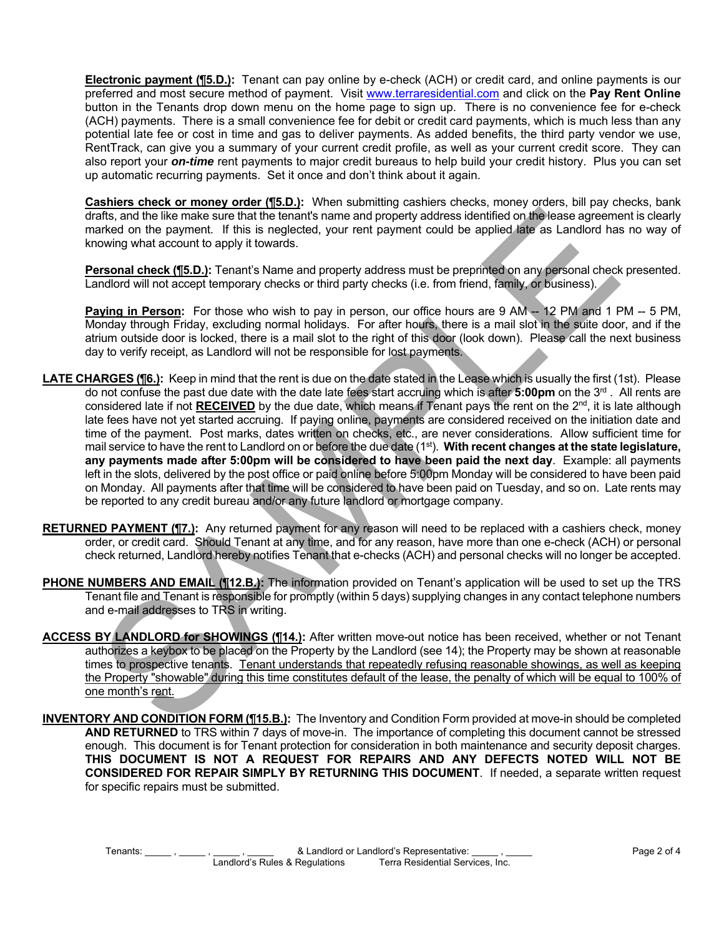**Electronic payment (**¶**5.D.):** Tenant can pay online by e-check (ACH) or credit card, and online payments is our preferred and most secure method of payment. Visit www.terraresidential.com and click on the **Pay Rent Online** button in the Tenants drop down menu on the home page to sign up. There is no convenience fee for e-check (ACH) payments. There is a small convenience fee for debit or credit card payments, which is much less than any potential late fee or cost in time and gas to deliver payments. As added benefits, the third party vendor we use, RentTrack, can give you a summary of your current credit profile, as well as your current credit score. They can also report your *on-time* rent payments to major credit bureaus to help build your credit history. Plus you can set up automatic recurring payments. Set it once and don't think about it again.

**Cashiers check or money order (**¶**5.D.):** When submitting cashiers checks, money orders, bill pay checks, bank drafts, and the like make sure that the tenant's name and property address identified on the lease agreement is clearly marked on the payment. If this is neglected, your rent payment could be applied late as Landlord has no way of knowing what account to apply it towards.

**Personal check (**¶**5.D.):** Tenant's Name and property address must be preprinted on any personal check presented. Landlord will not accept temporary checks or third party checks (i.e. from friend, family, or business).

Paying in Person: For those who wish to pay in person, our office hours are 9 AM -- 12 PM and 1 PM -- 5 PM, Monday through Friday, excluding normal holidays. For after hours, there is a mail slot in the suite door, and if the atrium outside door is locked, there is a mail slot to the right of this door (look down). Please call the next business day to verify receipt, as Landlord will not be responsible for lost payments.

- **LATE CHARGES (**¶**6.):** Keep in mind that the rent is due on the date stated in the Lease which is usually the first (1st). Please do not confuse the past due date with the date late fees start accruing which is after **5:00pm** on the 3rd . All rents are considered late if not **RECEIVED** by the due date, which means if Tenant pays the rent on the 2<sup>nd</sup>, it is late although late fees have not yet started accruing. If paying online, payments are considered received on the initiation date and time of the payment. Post marks, dates written on checks, etc., are never considerations. Allow sufficient time for mail service to have the rent to Landlord on or before the due date (1<sup>st</sup>). With recent changes at the state legislature, **any payments made after 5:00pm will be considered to have been paid the next day**. Example: all payments left in the slots, delivered by the post office or paid online before 5:00pm Monday will be considered to have been paid on Monday. All payments after that time will be considered to have been paid on Tuesday, and so on. Late rents may be reported to any credit bureau and/or any future landlord or mortgage company. and the like make stronge in the mean and property address identified on the bases appeared on the paper in the interaction of the mean of property address identified on the bases appeared on the paper in Ethis is neglecte
- **RETURNED PAYMENT (**¶**7.):** Any returned payment for any reason will need to be replaced with a cashiers check, money order, or credit card. Should Tenant at any time, and for any reason, have more than one e-check (ACH) or personal check returned, Landlord hereby notifies Tenant that e-checks (ACH) and personal checks will no longer be accepted.
- **PHONE NUMBERS AND EMAIL (**¶**12.B.):** The information provided on Tenant's application will be used to set up the TRS Tenant file and Tenant is responsible for promptly (within 5 days) supplying changes in any contact telephone numbers and e-mail addresses to TRS in writing.
- **ACCESS BY LANDLORD for SHOWINGS (**¶**14.):** After written move-out notice has been received, whether or not Tenant authorizes a keybox to be placed on the Property by the Landlord (see 14); the Property may be shown at reasonable times to prospective tenants. Tenant understands that repeatedly refusing reasonable showings, as well as keeping the Property "showable" during this time constitutes default of the lease, the penalty of which will be equal to 100% of one month's rent.
- **INVENTORY AND CONDITION FORM (**¶**15.B.):** The Inventory and Condition Form provided at move-in should be completed **AND RETURNED** to TRS within 7 days of move-in. The importance of completing this document cannot be stressed enough. This document is for Tenant protection for consideration in both maintenance and security deposit charges. **THIS DOCUMENT IS NOT A REQUEST FOR REPAIRS AND ANY DEFECTS NOTED WILL NOT BE CONSIDERED FOR REPAIR SIMPLY BY RETURNING THIS DOCUMENT**. If needed, a separate written request for specific repairs must be submitted.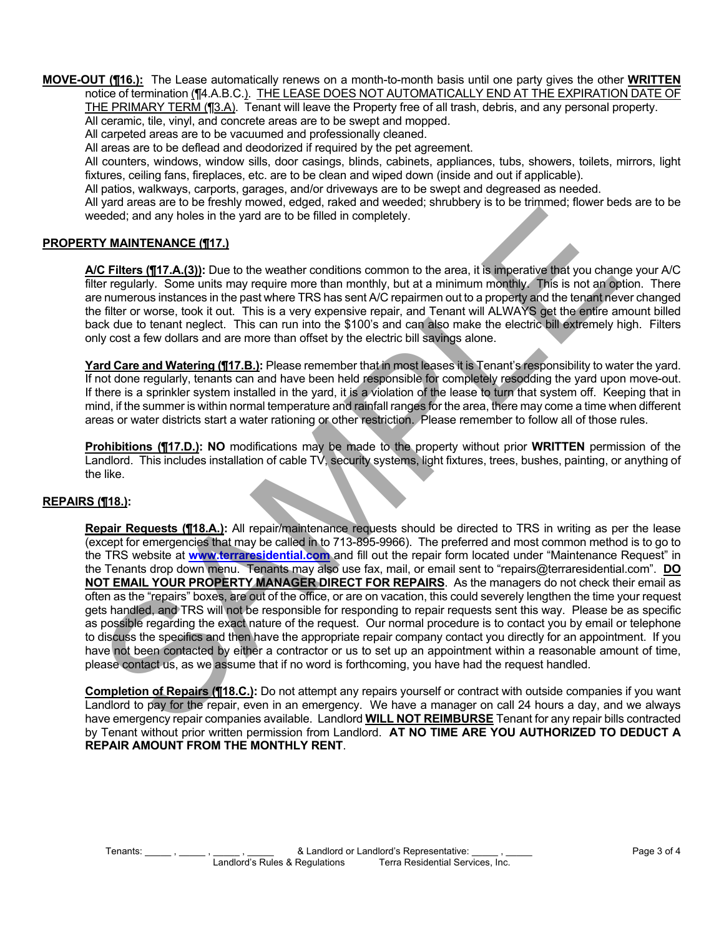**MOVE-OUT (¶16.):** The Lease automatically renews on a month-to-month basis until one party gives the other **WRITTEN** notice of termination (¶4.A.B.C.). THE LEASE DOES NOT AUTOMATICALLY END AT THE EXPIRATION DATE OF

THE PRIMARY TERM (¶3.A). Tenant will leave the Property free of all trash, debris, and any personal property. All ceramic, tile, vinyl, and concrete areas are to be swept and mopped.

All carpeted areas are to be vacuumed and professionally cleaned.

All areas are to be deflead and deodorized if required by the pet agreement.

 All counters, windows, window sills, door casings, blinds, cabinets, appliances, tubs, showers, toilets, mirrors, light fixtures, ceiling fans, fireplaces, etc. are to be clean and wiped down (inside and out if applicable).

All patios, walkways, carports, garages, and/or driveways are to be swept and degreased as needed.

 All yard areas are to be freshly mowed, edged, raked and weeded; shrubbery is to be trimmed; flower beds are to be weeded; and any holes in the yard are to be filled in completely.

### **PROPERTY MAINTENANCE (¶17.)**

 **A/C Filters (¶17.A.(3)):** Due to the weather conditions common to the area, it is imperative that you change your A/C filter regularly. Some units may require more than monthly, but at a minimum monthly. This is not an option. There are numerous instances in the past where TRS has sent A/C repairmen out to a property and the tenant never changed the filter or worse, took it out. This is a very expensive repair, and Tenant will ALWAYS get the entire amount billed back due to tenant neglect. This can run into the \$100's and can also make the electric bill extremely high. Filters only cost a few dollars and are more than offset by the electric bill savings alone.

**Yard Care and Watering (¶17.B.):** Please remember that in most leases it is Tenant's responsibility to water the yard. If not done regularly, tenants can and have been held responsible for completely resodding the yard upon move-out. If there is a sprinkler system installed in the yard, it is a violation of the lease to turn that system off. Keeping that in mind, if the summer is within normal temperature and rainfall ranges for the area, there may come a time when different areas or water districts start a water rationing or other restriction. Please remember to follow all of those rules.

 **Prohibitions (¶17.D.): NO** modifications may be made to the property without prior **WRITTEN** permission of the Landlord. This includes installation of cable TV, security systems, light fixtures, trees, bushes, painting, or anything of the like.

#### **REPAIRS (¶18.):**

**Repair Requests (¶18.A.):** All repair/maintenance requests should be directed to TRS in writing as per the lease (except for emergencies that may be called in to 713-895-9966). The preferred and most common method is to go to the TRS website at **www.terraresidential.com** and fill out the repair form located under "Maintenance Request" in the Tenants drop down menu. Tenants may also use fax, mail, or email sent to "repairs@terraresidential.com". **DO NOT EMAIL YOUR PROPERTY MANAGER DIRECT FOR REPAIRS**. As the managers do not check their email as often as the "repairs" boxes, are out of the office, or are on vacation, this could severely lengthen the time your request gets handled, and TRS will not be responsible for responding to repair requests sent this way. Please be as specific as possible regarding the exact nature of the request. Our normal procedure is to contact you by email or telephone to discuss the specifics and then have the appropriate repair company contact you directly for an appointment. If you have not been contacted by either a contractor or us to set up an appointment within a reasonable amount of time, please contact us, as we assume that if no word is forthcoming, you have had the request handled. by and counterparticle and My and are to be filled in completely,<br>
The MAINTENANCE (1172). Due to the weather conditions common to the area, it is imperative libet you channel<br>
C Elliers (1174A(3)). Due to the weather cond

 **Completion of Repairs (¶18.C.):** Do not attempt any repairs yourself or contract with outside companies if you want Landlord to pay for the repair, even in an emergency. We have a manager on call 24 hours a day, and we always have emergency repair companies available. Landlord **WILL NOT REIMBURSE** Tenant for any repair bills contracted by Tenant without prior written permission from Landlord. **AT NO TIME ARE YOU AUTHORIZED TO DEDUCT A REPAIR AMOUNT FROM THE MONTHLY RENT** .